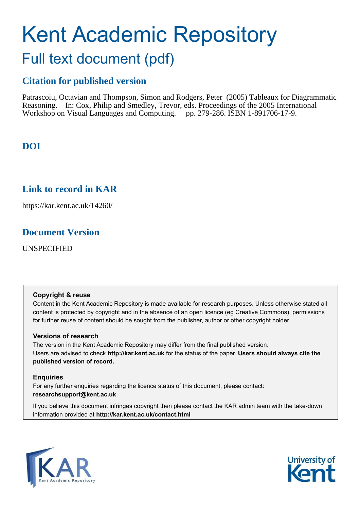# Kent Academic Repository Full text document (pdf)

# **Citation for published version**

Patrascoiu, Octavian and Thompson, Simon and Rodgers, Peter (2005) Tableaux for Diagrammatic Reasoning. In: Cox, Philip and Smedley, Trevor, eds. Proceedings of the 2005 International Workshop on Visual Languages and Computing. pp. 279-286. ISBN 1-891706-17-9.

# **DOI**

# **Link to record in KAR**

https://kar.kent.ac.uk/14260/

# **Document Version**

UNSPECIFIED

## **Copyright & reuse**

Content in the Kent Academic Repository is made available for research purposes. Unless otherwise stated all content is protected by copyright and in the absence of an open licence (eg Creative Commons), permissions for further reuse of content should be sought from the publisher, author or other copyright holder.

## **Versions of research**

The version in the Kent Academic Repository may differ from the final published version. Users are advised to check **http://kar.kent.ac.uk** for the status of the paper. **Users should always cite the published version of record.**

## **Enquiries**

For any further enquiries regarding the licence status of this document, please contact: **researchsupport@kent.ac.uk**

If you believe this document infringes copyright then please contact the KAR admin team with the take-down information provided at **http://kar.kent.ac.uk/contact.html**



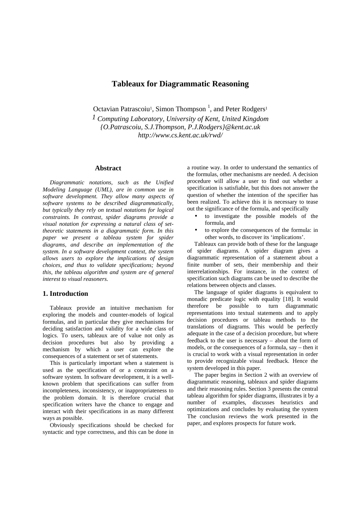## **Tableaux for Diagrammatic Reasoning**

Octavian Patrascoiu<sup>1</sup>, Simon Thompson<sup>1</sup>, and Peter Rodgers<sup>1</sup>

*1 Computing Laboratory, University of Kent, United Kingdom {O.Patrascoiu, S.J.Thompson, P.J.Rodgers}@kent.ac.uk http://www.cs.kent.ac.uk/rwd/* 

#### **Abstract**

*Diagrammatic notations, such as the Unified Modeling Language (UML), are in common use in software development. They allow many aspects of software systems to be described diagrammatically, but typically they rely on textual notations for logical constraints. In contrast, spider diagrams provide a visual notation for expressing a natural class of settheoretic statements in a diagrammatic form. In this paper we present a tableau system for spider diagrams, and describe an implementation of the system. In a software development context, the system allows users to explore the implications of design choices, and thus to validate specifications; beyond this, the tableau algorithm and system are of general interest to visual reasoners.* 

#### **1. Introduction**

Tableaux provide an intuitive mechanism for exploring the models and counter-models of logical formulas, and in particular they give mechanisms for deciding satisfaction and validity for a wide class of logics. To users, tableaux are of value not only as decision procedures but also by providing a mechanism by which a user can explore the consequences of a statement or set of statements.

This is particularly important when a statement is used as the specification of or a constraint on a software system. In software development, it is a wellknown problem that specifications can suffer from incompleteness, inconsistency, or inappropriateness to the problem domain. It is therefore crucial that specification writers have the chance to engage and interact with their specifications in as many different ways as possible.

Obviously specifications should be checked for syntactic and type correctness, and this can be done in

a routine way. In order to understand the semantics of the formulas, other mechanisms are needed. A decision procedure will allow a user to find out whether a specification is satisfiable, but this does not answer the question of whether the intention of the specifier has been realized. To achieve this it is necessary to tease out the significance of the formula, and specifically

- to investigate the possible models of the formula, and
- to explore the consequences of the formula: in other words, to discover its 'implications'.

Tableaux can provide both of these for the language of spider diagrams. A spider diagram gives a diagrammatic representation of a statement about a finite number of sets, their membership and their interrelationships. For instance, in the context of specification such diagrams can be used to describe the relations between objects and classes.

The language of spider diagrams is equivalent to monadic predicate logic with equality [18]. It would therefore be possible to turn diagrammatic representations into textual statements and to apply decision procedures or tableau methods to the translations of diagrams. This would be perfectly adequate in the case of a decision procedure, but where feedback to the user is necessary – about the form of models, or the consequences of a formula, say – then it is crucial to work with a visual representation in order to provide recognizable visual feedback. Hence the system developed in this paper.

The paper begins in Section 2 with an overview of diagrammatic reasoning, tableaux and spider diagrams and their reasoning rules. Section 3 presents the central tableau algorithm for spider diagrams, illustrates it by a number of examples, discusses heuristics and optimizations and concludes by evaluating the system The conclusion reviews the work presented in the paper, and explores prospects for future work.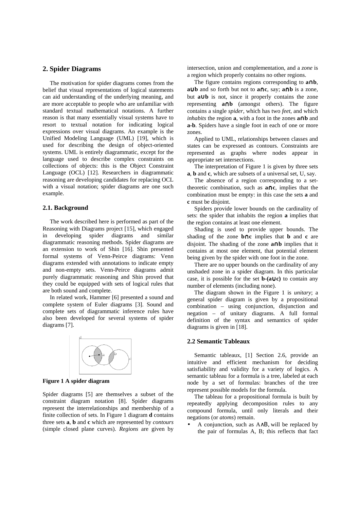#### **2. Spider Diagrams**

The motivation for spider diagrams comes from the belief that visual representations of logical statements can aid understanding of the underlying meaning, and are more acceptable to people who are unfamiliar with standard textual mathematical notations. A further reason is that many essentially visual systems have to resort to textual notation for indicating logical expressions over visual diagrams. An example is the Unified Modeling Language (UML) [19], which is used for describing the design of object-oriented systems. UML is entirely diagrammatic, except for the language used to describe complex constraints on collections of objects: this is the Object Constraint Language (OCL) [12]. Researchers in diagrammatic reasoning are developing candidates for replacing OCL with a visual notation; spider diagrams are one such example.

### **2.1. Background**

The work described here is performed as part of the Reasoning with Diagrams project [15], which engaged in developing spider diagrams and similar diagrammatic reasoning methods. Spider diagrams are an extension to work of Shin [16]. Shin presented formal systems of Venn-Peirce diagrams: Venn diagrams extended with annotations to indicate empty and non-empty sets. Venn-Peirce diagrams admit purely diagrammatic reasoning and Shin proved that they could be equipped with sets of logical rules that are both sound and complete.

In related work, Hammer [6] presented a sound and complete system of Euler diagrams [3]. Sound and complete sets of diagrammatic inference rules have also been developed for several systems of spider diagrams [7].



**Figure 1 A spider diagram** 

Spider diagrams [5] are themselves a subset of the constraint diagram notation [8]. Spider diagrams represent the interrelationships and membership of a finite collection of sets. In Figure 1 diagram **d** contains three sets **a**, **b** and **c** which are represented by *contours* (simple closed plane curves). *Regions* are given by intersection, union and complementation, and a *zone* is a region which properly contains no other regions.

The figure contains regions corresponding to **a**∩**b**, **a**∪**b** and so forth but not to **a**∩**c**, say; **a**∩**b** is a zone, but **a**∪**b** is not, since it properly contains the zone representing **a**∩**b** (amongst others). The figure contains a single *spider*, which has two *feet*, and which *inhabits* the region **a**, with a foot in the zones **a**∩**b** and **a-b**. Spiders have a single foot in each of one or more zones.

Applied to UML, relationships between classes and states can be expressed as contours. Constraints are represented as graphs where nodes appear in appropriate set intersections.

The interpretation of Figure 1 is given by three sets **a**, **b** and **c**, which are subsets of a universal set, U, say.

The absence of a region corresponding to a settheoretic combination, such as **a**∩**c**, implies that the combination must be empty: in this case the sets **a** and **c** must be disjoint.

Spiders provide lower bounds on the cardinality of sets: the spider that inhabits the region **a** implies that the region contains at least one element.

Shading is used to provide upper bounds. The shading of the zone **b**∩**c** implies that **b** and **c** are disjoint. The shading of the zone **a**∩**b** implies that it contains at most one element, that potential element being given by the spider with one foot in the zone.

There are no upper bounds on the cardinality of any unshaded zone in a spider diagram. In this particular case, it is possible for the set **b-(a**∪**c)** to contain any number of elements (including none).

The diagram shown in the Figure 1 is *unitary*; a general spider diagram is given by a propositional combination – using conjunction, disjunction and negation – of unitary diagrams. A full formal definition of the syntax and semantics of spider diagrams is given in [18].

#### **2.2 Semantic Tableaux**

Semantic tableaux, [1] Section 2.6, provide an intuitive and efficient mechanism for deciding satisfiability and validity for a variety of logics. A semantic tableau for a formula is a tree, labeled at each node by a set of formulas: branches of the tree represent possible models for the formula.

The tableau for a propositional formula is built by repeatedly applying decomposition rules to any compound formula, until only literals and their negations (or *atoms*) remain.

• A conjunction, such as A∧Β, will be replaced by the pair of formulas A, B; this reflects that fact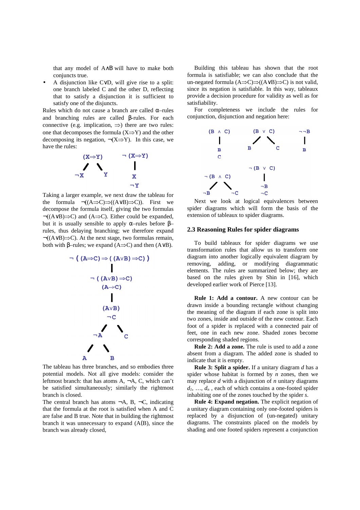that any model of A∧Β will have to make both conjuncts true.

• A disjunction like C∨D, will give rise to a split: one branch labeled C and the other D, reflecting that to satisfy a disjunction it is sufficient to satisfy one of the disjuncts.

Rules which do not cause a branch are called  $\alpha$ –rules and branching rules are called β-rules. For each connective (e.g. implication,  $\Rightarrow$ ) there are two rules: one that decomposes the formula  $(X\Rightarrow Y)$  and the other decomposing its negation,  $\neg(X \Rightarrow Y)$ . In this case, we have the rules:



Taking a larger example, we next draw the tableau for the formula  $\neg((A\Rightarrow C)\Rightarrow((A\lor B)\Rightarrow C))$ . First we decompose the formula itself, giving the two formulas ¬((A∨B)⇒C) and (A⇒C). Either could be expanded, but it is usually sensible to apply  $α$ -rules before  $β$ rules, thus delaying branching; we therefore expand ¬((A∨B)⇒C). At the next stage, two formulas remain, both with β–rules; we expand  $(A\Rightarrow C)$  and then  $(A\vee B)$ .



The tableau has three branches, and so embodies three potential models. Not all give models: consider the leftmost branch: that has atoms A, ¬A, C, which can't be satisfied simultaneously; similarly the rightmost branch is closed.

The central branch has atoms  $\neg A$ , B,  $\neg C$ , indicating that the formula at the root is satisfied when A and C are false and B true. Note that in building the rightmost branch it was unnecessary to expand (A(B), since the branch was already closed,

Building this tableau has shown that the root formula is satisfiable; we can also conclude that the un-negated formula (A⇒C)⇒((A∨B)⇒C) is not valid, since its negation is satisfiable. In this way, tableaux provide a decision procedure for validity as well as for satisfiability.

For completeness we include the rules for conjunction, disjunction and negation here:



Next we look at logical equivalences between spider diagrams which will form the basis of the extension of tableaux to spider diagrams.

#### **2.3 Reasoning Rules for spider diagrams**

To build tableaux for spider diagrams we use transformation rules that allow us to transform one diagram into another logically equivalent diagram by removing, adding, or modifying diagrammatic elements. The rules are summarized below; they are based on the rules given by Shin in [16], which developed earlier work of Pierce [13].

**Rule 1: Add a contour.** A new contour can be drawn inside a bounding rectangle without changing the meaning of the diagram if each zone is split into two zones, inside and outside of the new contour. Each foot of a spider is replaced with a connected pair of feet, one in each new zone. Shaded zones become corresponding shaded regions.

**Rule 2: Add a zone.** The rule is used to add a zone absent from a diagram. The added zone is shaded to indicate that it is empty.

**Rule 3: Split a spider.** If a unitary diagram *d* has a spider whose habitat is formed by *n* zones, then we may replace *d* with a disjunction of *n* unitary diagrams  $d_1, \ldots, d_n$ , each of which contains a one-footed spider inhabiting one of the zones touched by the spider *s*.

**Rule 4: Expand negation.** The explicit negation of a unitary diagram containing only one-footed spiders is replaced by a disjunction of (un-negated) unitary diagrams. The constraints placed on the models by shading and one footed spiders represent a conjunction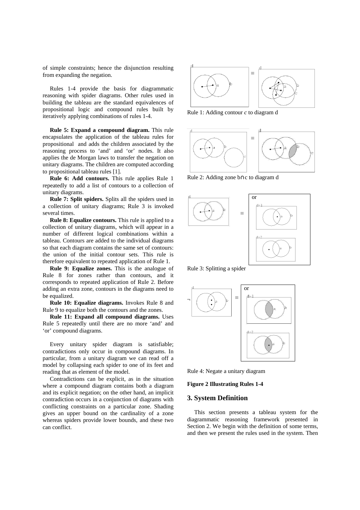of simple constraints; hence the disjunction resulting from expanding the negation.

Rules 1-4 provide the basis for diagrammatic reasoning with spider diagrams. Other rules used in building the tableau are the standard equivalences of propositional logic and compound rules built by iteratively applying combinations of rules 1-4.

**Rule 5: Expand a compound diagram.** This rule encapsulates the application of the tableau rules for propositional and adds the children associated by the reasoning process to 'and' and 'or' nodes. It also applies the de Morgan laws to transfer the negation on unitary diagrams. The children are computed according to propositional tableau rules [1].

**Rule 6: Add contours.** This rule applies Rule 1 repeatedly to add a list of contours to a collection of unitary diagrams.

**Rule 7: Split spiders.** Splits all the spiders used in a collection of unitary diagrams; Rule 3 is invoked several times.

**Rule 8: Equalize contours.** This rule is applied to a collection of unitary diagrams, which will appear in a number of different logical combinations within a tableau. Contours are added to the individual diagrams so that each diagram contains the same set of contours: the union of the initial contour sets. This rule is therefore equivalent to repeated application of Rule 1.

**Rule 9: Equalize zones.** This is the analogue of Rule 8 for zones rather than contours, and it corresponds to repeated application of Rule 2. Before adding an extra zone, contours in the diagrams need to be equalized.

**Rule 10: Equalize diagrams.** Invokes Rule 8 and Rule 9 to equalize both the contours and the zones.

**Rule 11: Expand all compound diagrams.** Uses Rule 5 repeatedly until there are no more 'and' and 'or' compound diagrams.

Every unitary spider diagram is satisfiable; contradictions only occur in compound diagrams. In particular, from a unitary diagram we can read off a model by collapsing each spider to one of its feet and reading that as element of the model.

Contradictions can be explicit, as in the situation where a compound diagram contains both a diagram and its explicit negation; on the other hand, an implicit contradiction occurs in a conjunction of diagrams with conflicting constraints on a particular zone. Shading gives an upper bound on the cardinality of a zone whereas spiders provide lower bounds, and these two can conflict.



Rule 1: Adding contour *c* to diagram d



Rule 2: Adding zone b∩c to diagram d



Rule 3: Splitting a spider



Rule 4: Negate a unitary diagram

#### **Figure 2 Illustrating Rules 1-4**

#### **3. System Definition**

This section presents a tableau system for the diagrammatic reasoning framework presented in Section 2. We begin with the definition of some terms, and then we present the rules used in the system. Then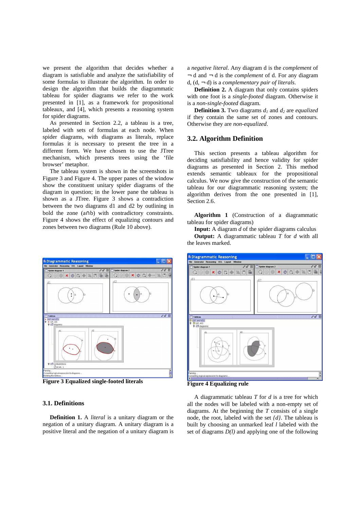we present the algorithm that decides whether a diagram is satisfiable and analyze the satisfiability of some formulas to illustrate the algorithm. In order to design the algorithm that builds the diagrammatic tableau for spider diagrams we refer to the work presented in [1], as a framework for propositional tableaux, and [4], which presents a reasoning system for spider diagrams.

As presented in Section 2.2, a tableau is a tree, labeled with sets of formulas at each node. When spider diagrams, with diagrams as literals, replace formulas it is necessary to present the tree in a different form. We have chosen to use the JTree mechanism, which presents trees using the 'file browser' metaphor.

The tableau system is shown in the screenshots in Figure 3 and Figure 4. The upper panes of the window show the constituent unitary spider diagrams of the diagram in question; in the lower pane the tableau is shown as a JTree. Figure 3 shows a contradiction between the two diagrams d1 and d2 by outlining in bold the zone (a∩b) with contradictory constraints. Figure 4 shows the effect of equalizing contours and zones between two diagrams (Rule 10 above).



**Figure 3 Equalized single-footed literals** 

#### **3.1. Definitions**

**Definition 1.** A *literal* is a unitary diagram or the negation of a unitary diagram. A unitary diagram is a positive literal and the negation of a unitary diagram is

a *negative literal*. Any diagram d is the *complement* of ¬ d and ¬ d is the *complement* of d. For any diagram d,  $(d, -d)$  is a *complementary pair of literals*.

**Definition 2.** A diagram that only contains spiders with one foot is a *single-footed* diagram. Otherwise it is a *non-single-footed* diagram.

**Definition 3.** Two diagrams *d1* and *d2* are *equalized* if they contain the same set of zones and contours. Otherwise they are *non-equalized*.

#### **3.2. Algorithm Definition**

This section presents a tableau algorithm for deciding satisfiability and hence validity for spider diagrams as presented in Section 2. This method extends semantic tableaux for the propositional calculus. We now give the construction of the semantic tableau for our diagrammatic reasoning system; the algorithm derives from the one presented in [1], Section 2.6.

**Algorithm 1** (Construction of a diagrammatic tableau for spider diagrams)

**Input:** A diagram *d* of the spider diagrams calculus

**Output:** A diagrammatic tableau *T* for *d* with all the leaves marked.



**Figure 4 Equalizing rule** 

A diagrammatic tableau *T* for *d* is a tree for which all the nodes will be labeled with a non-empty set of diagrams. At the beginning the *T* consists of a single node, the root, labeled with the set *{d}*. The tableau is built by choosing an unmarked leaf *l* labeled with the set of diagrams *D(l)* and applying one of the following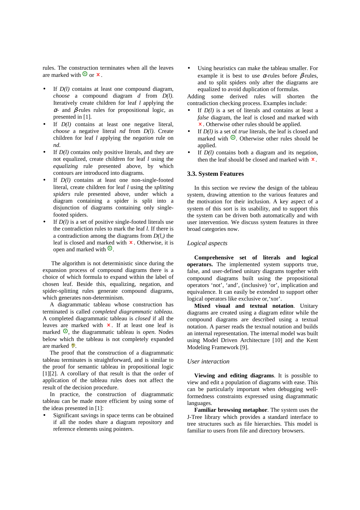rules. The construction terminates when all the leaves are marked with  $\mathbf{\Theta}$  or  $\mathbf{x}$ .

- If  $D(l)$  contains at least one compound diagram, *choose* a compound diagram *d* from *D(l)*. Iteratively create children for leaf *l* applying the  $α$ - and β-rules rules for propositional logic, as presented in [1].
- If  $D(l)$  contains at least one negative literal, *choose* a negative literal *nd* from *D(l)*. Create children for leaf *l* applying the *negation* rule on *nd*.
- If  $D(l)$  contains only positive literals, and they are not equalized, create children for leaf *l* using the *equalizing* rule presented above, by which contours are introduced into diagrams.
- If  $D(l)$  contains at least one non-single-footed literal, create children for leaf *l* using the *splitting spiders* rule presented above, under which a diagram containing a spider is split into a disjunction of diagrams containing only singlefooted spiders.
- If  $D(l)$  is a set of positive single-footed literals use the contradiction rules to mark the leaf *l*. If there is a contradiction among the diagrams from *D(l,)* the leaf is closed and marked with  $\boldsymbol{\times}$ . Otherwise, it is open and marked with  $\Omega$ .

 The algorithm is not deterministic since during the expansion process of compound diagrams there is a choice of which formula to expand within the label of chosen leaf. Beside this, equalizing, negation, and spider-splitting rules generate compound diagrams, which generates non-determinism.

A diagrammatic tableau whose construction has terminated is called *completed diagrammatic tableau*. A completed diagrammatic tableau is *closed* if all the leaves are marked with  $x$ . If at least one leaf is marked  $\odot$ , the diagrammatic tableau is *open*. Nodes below which the tableau is not completely expanded are marked ?

The proof that the construction of a diagrammatic tableau terminates is straightforward, and is similar to the proof for semantic tableau in propositional logic [1][2]. A corollary of that result is that the order of application of the tableau rules does not affect the result of the decision procedure.

In practice, the construction of diagrammatic tableau can be made more efficient by using some of the ideas presented in [1]:

Significant savings in space terms can be obtained if all the nodes share a diagram repository and reference elements using pointers.

Using heuristics can make the tableau smaller. For example it is best to use  $\alpha$ -rules before  $\beta$ -rules, and to split spiders only after the diagrams are equalized to avoid duplication of formulas.

Adding some derived rules will shorten the contradiction checking process. Examples include:

- If  $D(l)$  is a set of literals and contains at least a *false* diagram, the leaf is closed and marked with . Otherwise other rules should be applied.
- If  $D(l)$  is a set of *true* literals, the leaf is closed and marked with  $\Theta$ . Otherwise other rules should be applied.
- If  $D(l)$  contains both a diagram and its negation, then the leaf should be closed and marked with  $\boldsymbol{x}$ .

#### **3.3. System Features**

In this section we review the design of the tableau system, drawing attention to the various features and the motivation for their inclusion. A key aspect of a system of this sort is its usability, and to support this the system can be driven both automatically and with user intervention. We discuss system features in three broad categories now.

#### *Logical aspects*

**Comprehensive set of literals and logical operators.** The implemented system supports true, false, and user-defined unitary diagrams together with compound diagrams built using the propositional operators 'not', 'and', (inclusive) 'or', implication and equivalence. It can easily be extended to support other logical operators like exclusive or,'xor'.

**Mixed visual and textual notation**. Unitary diagrams are created using a diagram editor while the compound diagrams are described using a textual notation. A parser reads the textual notation and builds an internal representation. The internal model was built using Model Driven Architecture [10] and the Kent Modeling Framework [9].

#### *User interaction*

**Viewing and editing diagrams**. It is possible to view and edit a population of diagrams with ease. This can be particularly important when debugging wellformedness constraints expressed using diagrammatic languages.

**Familiar browsing metaphor**. The system uses the J-Tree library which provides a standard interface to tree structures such as file hierarchies. This model is familiar to users from file and directory browsers.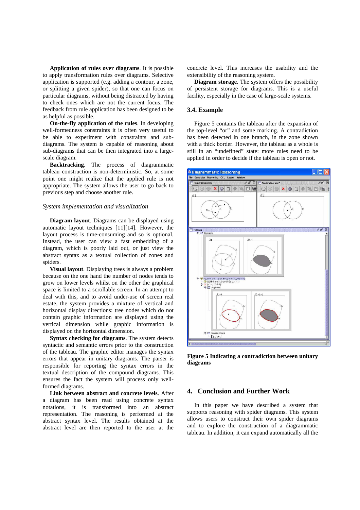**Application of rules over diagrams**. It is possible to apply transformation rules over diagrams. Selective application is supported (e.g. adding a contour, a zone, or splitting a given spider), so that one can focus on particular diagrams, without being distracted by having to check ones which are not the current focus. The feedback from rule application has been designed to be as helpful as possible.

**On-the-fly application of the rules**. In developing well-formedness constraints it is often very useful to be able to experiment with constraints and subdiagrams. The system is capable of reasoning about sub-diagrams that can be then integrated into a largescale diagram.

**Backtracking**. The process of diagrammatic tableau construction is non-deterministic. So, at some point one might realize that the applied rule is not appropriate. The system allows the user to go back to previous step and choose another rule.

#### *System implementation and visualization*

**Diagram layout**. Diagrams can be displayed using automatic layout techniques [11][14]. However, the layout process is time-consuming and so is optional. Instead, the user can view a fast embedding of a diagram, which is poorly laid out, or just view the abstract syntax as a textual collection of zones and spiders.

**Visual layout**. Displaying trees is always a problem because on the one hand the number of nodes tends to grow on lower levels whilst on the other the graphical space is limited to a scrollable screen. In an attempt to deal with this, and to avoid under-use of screen real estate, the system provides a mixture of vertical and horizontal display directions: tree nodes which do not contain graphic information are displayed using the vertical dimension while graphic information is displayed on the horizontal dimension.

**Syntax checking for diagrams**. The system detects syntactic and semantic errors prior to the construction of the tableau. The graphic editor manages the syntax errors that appear in unitary diagrams. The parser is responsible for reporting the syntax errors in the textual description of the compound diagrams. This ensures the fact the system will process only wellformed diagrams.

**Link between abstract and concrete levels**. After a diagram has been read using concrete syntax notations, it is transformed into an abstract representation. The reasoning is performed at the abstract syntax level. The results obtained at the abstract level are then reported to the user at the

concrete level. This increases the usability and the extensibility of the reasoning system.

**Diagram storage**. The system offers the possibility of persistent storage for diagrams. This is a useful facility, especially in the case of large-scale systems.

#### **3.4. Example**

Figure 5 contains the tableau after the expansion of the top-level "or" and some marking. A contradiction has been detected in one branch, in the zone shown with a thick border. However, the tableau as a whole is still in an "undefined" state: more rules need to be applied in order to decide if the tableau is open or not.



**Figure 5 Indicating a contradiction between unitary diagrams** 

#### **4. Conclusion and Further Work**

In this paper we have described a system that supports reasoning with spider diagrams. This system allows users to construct their own spider diagrams and to explore the construction of a diagrammatic tableau. In addition, it can expand automatically all the